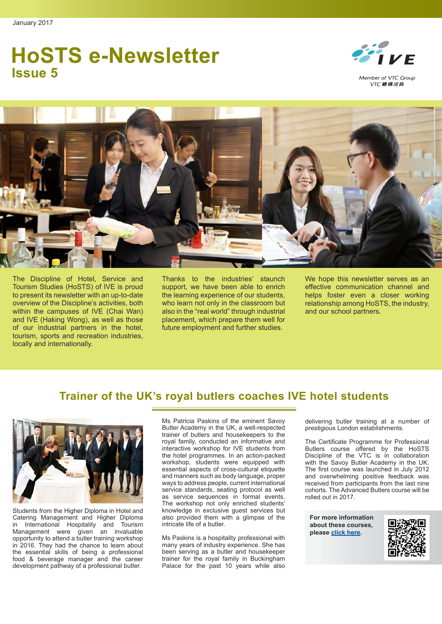# **HoSTS e-Newsletter Issue 5**



Member of VTC Group VTC 機構成員



The Discipline of Hotel, Service and Tourism Studies (HoSTS) of IVE is proud to present its newsletter with an up-to-date overview of the Discipline's activities, both within the campuses of IVE (Chai Wan) and IVE (Haking Wong), as well as those of our industrial partners in the hotel, tourism, sports and recreation industries, locally and internationally.

Thanks to the industries' staunch support, we have been able to enrich the learning experience of our students, who learn not only in the classroom but also in the "real world" through industrial placement, which prepare them well for future employment and further studies.

We hope this newsletter serves as an effective communication channel and helps foster even a closer working relationship among HoSTS, the industry, and our school partners.

### **Trainer of the UK's royal butlers coaches IVE hotel students**



Students from the Higher Diploma in Hotel and Catering Management and Higher Diploma in International Hospitality and Tourism Management were given an invaluable opportunity to attend a butler training workshop in 2016. They had the chance to learn about the essential skills of being a professional food & beverage manager and the career development pathway of a professional butler.

Ms Patricia Paskins of the eminent Savoy Butler Academy in the UK, a well-respected trainer of butlers and housekeepers to the royal family, conducted an informative and interactive workshop for IVE students from the hotel programmes. In an action-packed workshop, students were equipped with essential aspects of cross-cultural etiquette and manners such as body language, proper ways to address people, current international service standards, seating protocol as well as service sequences in formal events. The workshop not only enriched students' knowledge in exclusive guest services but also provided them with a glimpse of the intricate life of a butler.

Ms Paskins is a hospitality professional with many years of industry experience. She has been serving as a butler and housekeeper trainer for the royal family in Buckingham Palace for the past 10 years while also delivering butler training at a number of prestigious London establishments.

The Certificate Programme for Professional Butlers course offered by the HoSTS Discipline of the VTC is in collaboration with the Savoy Butler Academy in the UK. The first course was launched in July 2012 and overwhelming positive feedback was received from participants from the last nine cohorts. The Advanced Butlers course will be rolled out in 2017.

**For more information about these courses, please [click here](http://www.vtc.edu.hk/ive/hw/Spohosts/butler/ButlersLeaflet.pdf).**

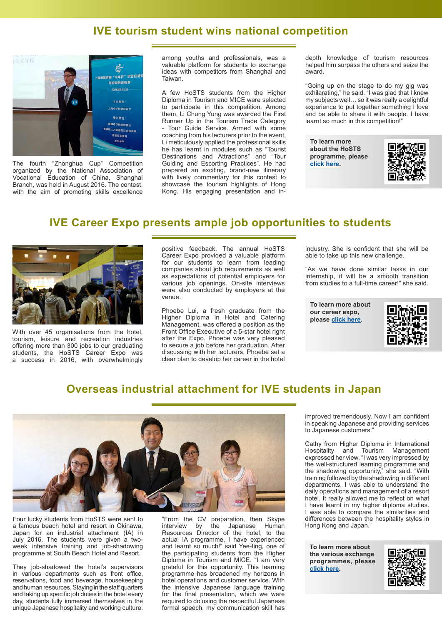#### **IVE tourism student wins national competition**



The fourth "Zhonghua Cup" Competition organized by the National Association of Vocational Education of China, Shanghai Branch, was held in August 2016. The contest, with the aim of promoting skills excellence

among youths and professionals, was a valuable platform for students to exchange ideas with competitors from Shanghai and Taiwan.

A few HoSTS students from the Higher Diploma in Tourism and MICE were selected to participate in this competition. Among them, Li Chung Yung was awarded the First Runner Up in the Tourism Trade Category Tour Guide Service. Armed with some coaching from his lecturers prior to the event, Li meticulously applied the professional skills he has learnt in modules such as "Tourist Destinations and Attractions" and "Tour Guiding and Escorting Practices". He had prepared an exciting, brand-new itinerary with lively commentary for this contest to showcase the tourism highlights of Hong Kong. His engaging presentation and indepth knowledge of tourism resources helped him surpass the others and seize the award.

"Going up on the stage to do my gig was exhilarating," he said. "I was glad that I knew my subjects well… so it was really a delightful experience to put together something I love and be able to share it with people. I have learnt so much in this competition!"

**To learn more about the HoSTS programme, please [click here](http://www.vtc.edu.hk/hosts/ivesite/html/en/hostscourses.html).**



#### **IVE Career Expo presents ample job opportunities to students**



With over 45 organisations from the hotel, tourism, leisure and recreation industries offering more than 300 jobs to our graduating students, the HoSTS Career Expo was a success in 2016, with overwhelmingly

positive feedback. The annual HoSTS Career Expo provided a valuable platform for our students to learn from leading companies about job requirements as well as expectations of potential employers for various job openings. On-site interviews were also conducted by employers at the venue.

Phoebe Lui, a fresh graduate from the Higher Diploma in Hotel and Catering Management, was offered a position as the Front Office Executive of a 5-star hotel right after the Expo. Phoebe was very pleased to secure a job before her graduation. After discussing with her lecturers, Phoebe set a clear plan to develop her career in the hotel industry. She is confident that she will be able to take up this new challenge.

"As we have done similar tasks in our internship, it will be a smooth transition from studies to a full-time career!" she said.

**To learn more about our career expo, please [click here.](http://www.vtc.edu.hk/hosts/ivesite/html/en/expo.html)**



#### **Overseas industrial attachment for IVE students in Japan**



Four lucky students from HoSTS were sent to a famous beach hotel and resort in Okinawa, Japan for an industrial attachment (IA) in July 2016. The students were given a twoweek intensive training and job-shadowing programme at South Beach Hotel and Resort.

They job-shadowed the hotel's supervisors in various departments such as front office, reservations, food and beverage, housekeeping and human resources. Staying in the staff quarters and taking up specific job duties in the hotel every day, students fully immersed themselves in the unique Japanese hospitality and working culture.

"From the CV preparation, then Skype<br>interview by the Japanese Human Japanese Human Resources Director of the hotel, to the actual IA programme, I have experienced and learnt so much!" said Yee-ting, one of the participating students from the Higher Diploma in Tourism and MICE. "I am very grateful for this opportunity. This learning programme has broadened my horizons in hotel operations and customer service. With the intensive Japanese language training for the final presentation, which we were required to do using the respectful Japanese formal speech, my communication skill has improved tremendously. Now I am confident in speaking Japanese and providing services to Japanese customers."

Cathy from Higher Diploma in International Hospitality and Tourism Management expressed her view. "I was very impressed by the well-structured learning programme and the shadowing opportunity," she said. "With training followed by the shadowing in different departments, I was able to understand the daily operations and management of a resort hotel. It really allowed me to reflect on what I have learnt in my higher diploma studies. I was able to compare the similarities and differences between the hospitality styles in Hong Kong and Japan."

**To learn more about the various exchange programmes, please [click here.](http://www.vtc.edu.hk/hosts/ivesite/html/en/exchangeprogrammes.html)**

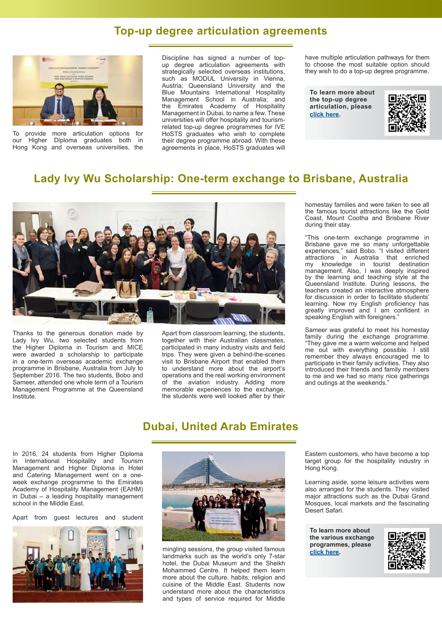#### **Top-up degree articulation agreements**



To provide more articulation options for<br>our Higher Diploma graduates both in Higher Diploma graduates both Hong Kong and overseas universities, the

Discipline has signed a number of topup degree articulation agreements with strategically selected overseas institutions, such as MODUL University in Vienna, Austria; Queensland University and the Blue Mountains International Hospitality Management School in Australia; and the Emirates Academy of Hospitality Management in Dubai, to name a few. These universities will offer hospitality and tourismrelated top-up degree programmes for IVE HoSTS graduates who wish to complete their degree programme abroad. With these agreements in place, HoSTS graduates will have multiple articulation pathways for them to choose the most suitable option should they wish to do a top-up degree programme.

**To learn more about the top-up degree articulation, please [click here.](http://www.vtc.edu.hk/hosts/ivesite/html/en/topupprogramme.html)**



#### **Lady Ivy Wu Scholarship: One-term exchange to Brisbane, Australia**



Thanks to the generous donation made by Lady Ivy Wu, two selected students from the Higher Diploma in Tourism and MICE were awarded a scholarship to participate in a one-term overseas academic exchange programme in Brisbane, Australia from July to September 2016. The two students, Bobo and Sameer, attended one whole term of a Tourism Management Programme at the Queensland Institute.

Apart from classroom learning, the students, together with their Australian classmates, participated in many industry visits and field trips. They were given a behind-the-scenes visit to Brisbane Airport that enabled them to understand more about the airport's operations and the real working environment of the aviation industry. Adding more memorable experiences to the exchange, the students were well looked after by their homestay families and were taken to see all the famous tourist attractions like the Gold Coast, Mount Cootha and Brisbane River during their stay.

"This one-term exchange programme in Brisbane gave me so many unforgettable experiences," said Bobo. "I visited different attractions in Australia that enriched my knowledge in tourist destination management. Also, I was deeply inspired by the learning and teaching style at the Queensland Institute. During lessons, the teachers created an interactive atmosphere for discussion in order to facilitate students' learning. Now my English proficiency has greatly improved and I am confident in speaking English with foreigners.

Sameer was grateful to meet his homestay family during the exchange programme. "They gave me a warm welcome and helped me out with everything possible. I still remember they always encouraged me to participate in their family activities. They also introduced their friends and family members to me and we had so many nice gatherings and outings at the weekends."

#### **Dubai, United Arab Emirates**

In 2016, 24 students from Higher Diploma in International Hospitality and Tourism Management and Higher Diploma in Hotel and Catering Management went on a oneweek exchange programme to the Emirates Academy of Hospitality Management (EAHM) in Dubai – a leading hospitality management school in the Middle East.

Apart from guest lectures and student





mingling sessions, the group visited famous landmarks such as the world's only 7-star hotel, the Dubai Museum and the Sheikh Mohammed Centre. It helped them learn more about the culture, habits, religion and cuisine of the Middle East. Students now understand more about the characteristics and types of service required for Middle Eastern customers, who have become a top target group for the hospitality industry in Hong Kong.

Learning aside, some leisure activities were also arranged for the students. They visited major attractions such as the Dubai Grand Mosques, local markets and the fascinating Desert Safari.

**To learn more about the various exchange programmes, please [click here.](http://www.vtc.edu.hk/hosts/ivesite/html/en/exchangeprogrammes.html)**